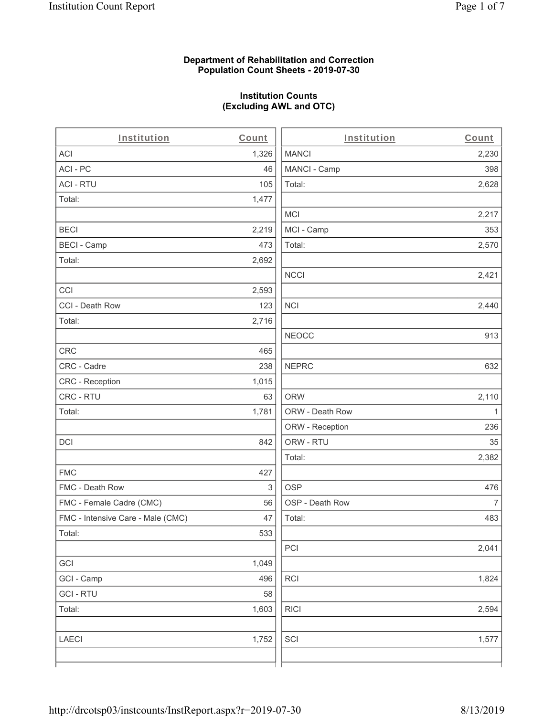#### **Department of Rehabilitation and Correction Population Count Sheets - 2019-07-30**

# **Institution Counts (Excluding AWL and OTC)**

| Institution                       | Count | Institution     | Count          |
|-----------------------------------|-------|-----------------|----------------|
| <b>ACI</b>                        | 1,326 | <b>MANCI</b>    | 2,230          |
| ACI - PC                          | 46    | MANCI - Camp    | 398            |
| <b>ACI - RTU</b>                  | 105   | Total:          | 2,628          |
| Total:                            | 1,477 |                 |                |
|                                   |       | <b>MCI</b>      | 2,217          |
| <b>BECI</b>                       | 2,219 | MCI - Camp      | 353            |
| <b>BECI - Camp</b>                | 473   | Total:          | 2,570          |
| Total:                            | 2,692 |                 |                |
|                                   |       | <b>NCCI</b>     | 2,421          |
| CCI                               | 2,593 |                 |                |
| CCI - Death Row                   | 123   | <b>NCI</b>      | 2,440          |
| Total:                            | 2,716 |                 |                |
|                                   |       | <b>NEOCC</b>    | 913            |
| CRC                               | 465   |                 |                |
| CRC - Cadre                       | 238   | <b>NEPRC</b>    | 632            |
| CRC - Reception                   | 1,015 |                 |                |
| CRC - RTU                         | 63    | <b>ORW</b>      | 2,110          |
| Total:                            | 1,781 | ORW - Death Row | 1              |
|                                   |       | ORW - Reception | 236            |
| <b>DCI</b>                        | 842   | ORW - RTU       | 35             |
|                                   |       | Total:          | 2,382          |
| <b>FMC</b>                        | 427   |                 |                |
| FMC - Death Row                   | 3     | <b>OSP</b>      | 476            |
| FMC - Female Cadre (CMC)          | 56    | OSP - Death Row | $\overline{7}$ |
| FMC - Intensive Care - Male (CMC) | 47    | Total:          | 483            |
| Total:                            | 533   |                 |                |
|                                   |       | PCI             | 2,041          |
| GCI                               | 1,049 |                 |                |
| GCI - Camp                        | 496   | RCI             | 1,824          |
| <b>GCI-RTU</b>                    | 58    |                 |                |
| Total:                            | 1,603 | <b>RICI</b>     | 2,594          |
| LAECI                             | 1,752 | SCI             | 1,577          |
|                                   |       |                 |                |
|                                   |       |                 |                |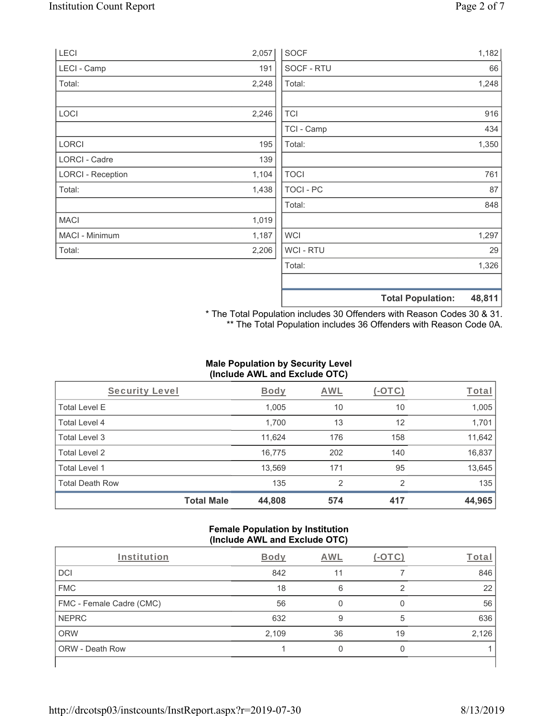| LECI                     | 2,057 | <b>SOCF</b> | 1,182                              |
|--------------------------|-------|-------------|------------------------------------|
| LECI - Camp              | 191   | SOCF - RTU  | 66                                 |
| Total:                   | 2,248 | Total:      | 1,248                              |
| LOCI                     | 2,246 | <b>TCI</b>  | 916                                |
|                          |       | TCI - Camp  | 434                                |
| LORCI                    | 195   | Total:      | 1,350                              |
| <b>LORCI - Cadre</b>     | 139   |             |                                    |
| <b>LORCI - Reception</b> | 1,104 | <b>TOCI</b> | 761                                |
| Total:                   | 1,438 | TOCI-PC     | 87                                 |
|                          |       | Total:      | 848                                |
| <b>MACI</b>              | 1,019 |             |                                    |
| MACI - Minimum           | 1,187 | <b>WCI</b>  | 1,297                              |
| Total:                   | 2,206 | WCI - RTU   | 29                                 |
|                          |       | Total:      | 1,326                              |
|                          |       |             | 48,811<br><b>Total Population:</b> |

\* The Total Population includes 30 Offenders with Reason Codes 30 & 31. \*\* The Total Population includes 36 Offenders with Reason Code 0A.

## **Male Population by Security Level (Include AWL and Exclude OTC)**

| <b>Security Level</b>  |                   | <b>Body</b> | <b>AWL</b>     | (-OTC) | Total  |
|------------------------|-------------------|-------------|----------------|--------|--------|
| <b>Total Level E</b>   |                   | 1,005       | 10             | 10     | 1,005  |
| Total Level 4          |                   | 1,700       | 13             | 12     | 1,701  |
| Total Level 3          |                   | 11,624      | 176            | 158    | 11,642 |
| Total Level 2          |                   | 16.775      | 202            | 140    | 16,837 |
| Total Level 1          |                   | 13,569      | 171            | 95     | 13,645 |
| <b>Total Death Row</b> |                   | 135         | $\mathfrak{p}$ | 2      | 135    |
|                        | <b>Total Male</b> | 44,808      | 574            | 417    | 44,965 |

#### **Female Population by Institution (Include AWL and Exclude OTC)**

| Institution              | <b>Body</b> | <b>AWL</b> | $-$ () | Total |
|--------------------------|-------------|------------|--------|-------|
| <b>DCI</b>               | 842         | 11         |        | 846   |
| <b>FMC</b>               | 18          | 6          |        | 22    |
| FMC - Female Cadre (CMC) | 56          |            |        | 56    |
| <b>NEPRC</b>             | 632         | 9          | 5      | 636   |
| <b>ORW</b>               | 2,109       | 36         | 19     | 2,126 |
| <b>ORW - Death Row</b>   |             |            |        |       |
|                          |             |            |        |       |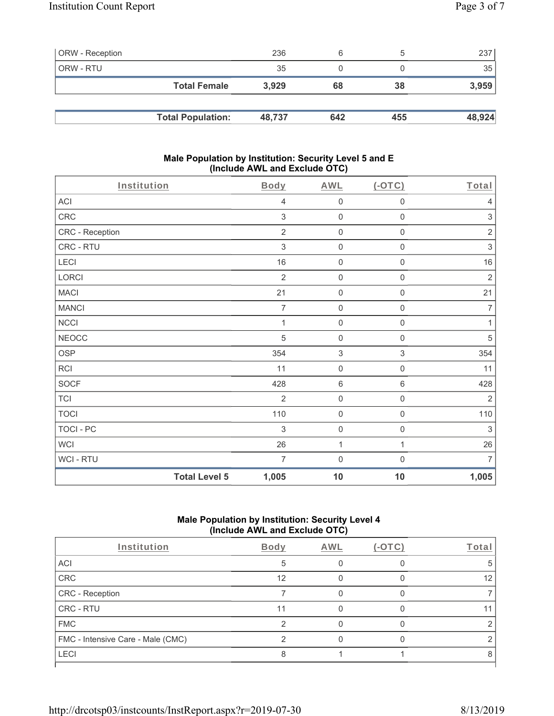| <b>ORW</b> - Reception |                          | 236    | 6   |     | 237    |
|------------------------|--------------------------|--------|-----|-----|--------|
| ORW - RTU              |                          | 35     |     |     | 35     |
|                        | <b>Total Female</b>      | 3.929  | 68  | 38  | 3,959  |
|                        |                          |        |     |     |        |
|                        | <b>Total Population:</b> | 48,737 | 642 | 455 | 48,924 |

#### **Male Population by Institution: Security Level 5 and E (Include AWL and Exclude OTC)**

| Institution     | Body                          | <b>AWL</b>                | $(-OTC)$            | Total                     |
|-----------------|-------------------------------|---------------------------|---------------------|---------------------------|
| ACI             | $\overline{4}$                | $\mathsf{O}\xspace$       | $\boldsymbol{0}$    | $\overline{4}$            |
| CRC             | $\mathfrak{S}$                | 0                         | $\mathsf{O}\xspace$ | $\sqrt{3}$                |
| CRC - Reception | $\overline{2}$                | $\boldsymbol{0}$          | $\mathbf 0$         | $\sqrt{2}$                |
| CRC - RTU       | $\ensuremath{\mathsf{3}}$     | $\boldsymbol{0}$          | 0                   | $\ensuremath{\mathsf{3}}$ |
| LECI            | $16\,$                        | $\boldsymbol{0}$          | $\boldsymbol{0}$    | $16\,$                    |
| LORCI           | $\overline{2}$                | $\boldsymbol{0}$          | $\mathbf 0$         | $\overline{2}$            |
| <b>MACI</b>     | 21                            | $\mathsf{O}\xspace$       | $\mathsf{O}\xspace$ | 21                        |
| <b>MANCI</b>    | $\overline{7}$                | $\boldsymbol{0}$          | $\mathsf{O}\xspace$ | $\overline{7}$            |
| NCCI            | $\mathbf 1$                   | $\mathsf{O}\xspace$       | $\mathsf{O}\xspace$ | $\mathbf{1}$              |
| <b>NEOCC</b>    | 5                             | $\boldsymbol{0}$          | 0                   | $\,$ 5 $\,$               |
| <b>OSP</b>      | 354                           | $\ensuremath{\mathsf{3}}$ | 3                   | 354                       |
| RCI             | 11                            | 0                         | $\mathsf{O}\xspace$ | 11                        |
| <b>SOCF</b>     | 428                           | 6                         | 6                   | 428                       |
| <b>TCI</b>      | $\overline{2}$                | 0                         | $\mathbf 0$         | $\overline{2}$            |
| <b>TOCI</b>     | 110                           | $\boldsymbol{0}$          | $\mathsf{O}\xspace$ | 110                       |
| TOCI - PC       | 3                             | $\boldsymbol{0}$          | $\mathsf 0$         | $\ensuremath{\mathsf{3}}$ |
| <b>WCI</b>      | $26\,$                        | $\mathbf{1}$              | 1                   | 26                        |
| WCI - RTU       | $\overline{7}$                | $\mathbf 0$               | 0                   | $\overline{7}$            |
|                 | <b>Total Level 5</b><br>1,005 | 10                        | 10                  | 1,005                     |

## **Male Population by Institution: Security Level 4 (Include AWL and Exclude OTC)**

| Institution                       | Body | <b>AWL</b> | $(-OTC)$ | Total |
|-----------------------------------|------|------------|----------|-------|
| <b>ACI</b>                        | 5    |            |          |       |
| CRC                               | 12   |            |          | 12    |
| CRC - Reception                   |      |            |          |       |
| CRC - RTU                         | 11   |            |          |       |
| <b>FMC</b>                        | ⌒    |            |          |       |
| FMC - Intensive Care - Male (CMC) |      |            |          |       |
| LECI                              |      |            |          |       |
|                                   |      |            |          |       |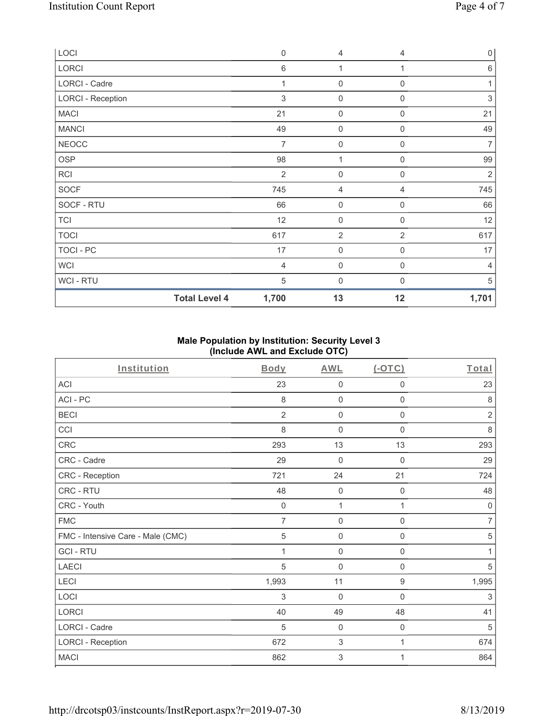| LOCI                     | $\mathbf 0$    | 4                   | $\overline{4}$   | $\overline{0}$ |
|--------------------------|----------------|---------------------|------------------|----------------|
| LORCI                    | $\,6$          | 1                   | 1                | 6              |
| LORCI - Cadre            | 1              | $\mathsf{O}\xspace$ | $\mathbf 0$      | 1              |
| <b>LORCI - Reception</b> | 3              | $\mathbf 0$         | $\Omega$         | $\sqrt{3}$     |
| <b>MACI</b>              | 21             | $\mathsf{O}\xspace$ | $\mathbf 0$      | 21             |
| <b>MANCI</b>             | 49             | 0                   | $\mathbf 0$      | 49             |
| <b>NEOCC</b>             | 7              | $\mathsf{O}\xspace$ | $\mathbf 0$      | $\overline{7}$ |
| OSP                      | 98             | 1                   | $\overline{0}$   | 99             |
| <b>RCI</b>               | $\overline{2}$ | $\boldsymbol{0}$    | $\boldsymbol{0}$ | 2              |
| SOCF                     | 745            | 4                   | $\overline{4}$   | 745            |
| SOCF - RTU               | 66             | $\mathsf{O}\xspace$ | $\mathbf 0$      | 66             |
| <b>TCI</b>               | 12             | $\mathsf{O}\xspace$ | $\boldsymbol{0}$ | 12             |
| <b>TOCI</b>              | 617            | $\overline{2}$      | $\overline{2}$   | 617            |
| TOCI - PC                | 17             | $\mathsf{O}\xspace$ | $\mathbf 0$      | 17             |
| <b>WCI</b>               | $\overline{4}$ | $\mathbf 0$         | $\mathbf 0$      | 4              |
| <b>WCI-RTU</b>           | 5              | 0                   | $\Omega$         | 5              |
| <b>Total Level 4</b>     | 1,700          | 13                  | 12               | 1,701          |

## **Male Population by Institution: Security Level 3 (Include AWL and Exclude OTC)**

| Institution                       | Body           | <b>AWL</b>          | (OTC)               | Total          |
|-----------------------------------|----------------|---------------------|---------------------|----------------|
| <b>ACI</b>                        | 23             | $\mathbf 0$         | $\mathbf 0$         | 23             |
| ACI-PC                            | 8              | $\mathbf 0$         | $\mathbf 0$         | 8              |
| <b>BECI</b>                       | $\overline{2}$ | $\mathsf{O}\xspace$ | 0                   | $\overline{2}$ |
| CCI                               | 8              | $\mathbf 0$         | 0                   | $\,8\,$        |
| <b>CRC</b>                        | 293            | 13                  | 13                  | 293            |
| CRC - Cadre                       | 29             | $\mathbf 0$         | $\Omega$            | 29             |
| CRC - Reception                   | 721            | 24                  | 21                  | 724            |
| <b>CRC - RTU</b>                  | 48             | $\mathbf 0$         | 0                   | 48             |
| CRC - Youth                       | $\mathbf 0$    | 1                   | 1                   | $\mathbf 0$    |
| <b>FMC</b>                        | $\overline{7}$ | $\mathsf{O}\xspace$ | $\mathsf{O}\xspace$ | $\overline{7}$ |
| FMC - Intensive Care - Male (CMC) | 5              | $\mathbf 0$         | 0                   | $\sqrt{5}$     |
| <b>GCI-RTU</b>                    | 1              | $\mathsf{O}\xspace$ | $\mathsf{O}\xspace$ | 1              |
| <b>LAECI</b>                      | 5              | $\mathbf 0$         | $\mathbf 0$         | 5              |
| LECI                              | 1,993          | 11                  | $\boldsymbol{9}$    | 1,995          |
| LOCI                              | 3              | $\mathbf 0$         | $\Omega$            | 3              |
| <b>LORCI</b>                      | 40             | 49                  | 48                  | 41             |
| LORCI - Cadre                     | 5              | $\mathsf{O}\xspace$ | $\mathsf{O}\xspace$ | $\sqrt{5}$     |
| <b>LORCI - Reception</b>          | 672            | $\sqrt{3}$          | 1                   | 674            |
| <b>MACI</b>                       | 862            | 3                   | 1                   | 864            |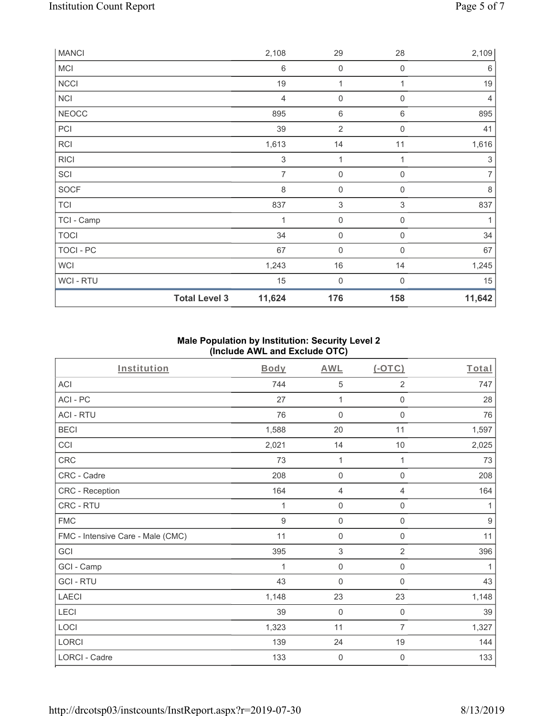| <b>MANCI</b> |                      | 2,108                     | 29                        | 28                        | 2,109                     |
|--------------|----------------------|---------------------------|---------------------------|---------------------------|---------------------------|
| MCI          |                      | 6                         | $\mathsf{O}\xspace$       | $\mathbf 0$               | 6                         |
| <b>NCCI</b>  |                      | 19                        | $\mathbf 1$               | 1                         | 19                        |
| <b>NCI</b>   |                      | $\overline{4}$            | $\mathsf{O}\xspace$       | $\mathbf 0$               | $\overline{4}$            |
| <b>NEOCC</b> |                      | 895                       | 6                         | 6                         | 895                       |
| PCI          |                      | 39                        | $\overline{2}$            | $\mathbf 0$               | 41                        |
| <b>RCI</b>   |                      | 1,613                     | 14                        | 11                        | 1,616                     |
| <b>RICI</b>  |                      | $\ensuremath{\mathsf{3}}$ | $\mathbf 1$               |                           | $\ensuremath{\mathsf{3}}$ |
| SCI          |                      | $\overline{7}$            | $\mathsf{O}\xspace$       | $\mathbf 0$               | $\overline{7}$            |
| SOCF         |                      | $\,8\,$                   | $\mathsf{O}\xspace$       | $\mathbf 0$               | $\,8\,$                   |
| <b>TCI</b>   |                      | 837                       | $\ensuremath{\mathsf{3}}$ | $\ensuremath{\mathsf{3}}$ | 837                       |
| TCI - Camp   |                      | $\mathbf 1$               | $\mathbf 0$               | 0                         | 1                         |
| <b>TOCI</b>  |                      | 34                        | $\mathsf{O}\xspace$       | $\mathbf 0$               | 34                        |
| TOCI - PC    |                      | 67                        | $\mathsf{O}\xspace$       | $\overline{0}$            | 67                        |
| <b>WCI</b>   |                      | 1,243                     | $16\,$                    | 14                        | 1,245                     |
| WCI - RTU    |                      | 15                        | $\boldsymbol{0}$          | $\Omega$                  | 15                        |
|              | <b>Total Level 3</b> | 11,624                    | 176                       | 158                       | 11,642                    |

## **Male Population by Institution: Security Level 2 (Include AWL and Exclude OTC)**

| Institution                       | <b>Body</b>    | <b>AWL</b>          | (OTC)               | Total |
|-----------------------------------|----------------|---------------------|---------------------|-------|
| <b>ACI</b>                        | 744            | 5                   | $\overline{2}$      | 747   |
| ACI-PC                            | 27             | 1                   | 0                   | 28    |
| <b>ACI - RTU</b>                  | 76             | $\mathbf 0$         | $\mathsf{O}\xspace$ | 76    |
| <b>BECI</b>                       | 1,588          | 20                  | 11                  | 1,597 |
| CCI                               | 2,021          | 14                  | $10$                | 2,025 |
| CRC                               | 73             | $\mathbf{1}$        | 1                   | 73    |
| CRC - Cadre                       | 208            | $\mathbf 0$         | $\mathsf 0$         | 208   |
| CRC - Reception                   | 164            | $\overline{4}$      | 4                   | 164   |
| <b>CRC - RTU</b>                  | 1              | $\mathsf{O}\xspace$ | $\mathbf 0$         | 1     |
| <b>FMC</b>                        | $\overline{9}$ | $\mathsf{O}\xspace$ | $\mathsf{O}\xspace$ | $9\,$ |
| FMC - Intensive Care - Male (CMC) | 11             | $\mathsf{O}\xspace$ | 0                   | 11    |
| GCI                               | 395            | $\sqrt{3}$          | $\overline{2}$      | 396   |
| GCI - Camp                        | 1              | $\mathbf 0$         | 0                   | 1     |
| <b>GCI-RTU</b>                    | 43             | $\mathbf 0$         | $\mathbf 0$         | 43    |
| <b>LAECI</b>                      | 1,148          | 23                  | 23                  | 1,148 |
| LECI                              | 39             | $\mathbf 0$         | $\mathbf 0$         | 39    |
| LOCI                              | 1,323          | 11                  | $\overline{7}$      | 1,327 |
| LORCI                             | 139            | 24                  | 19                  | 144   |
| <b>LORCI - Cadre</b>              | 133            | $\mathbf 0$         | $\mathbf 0$         | 133   |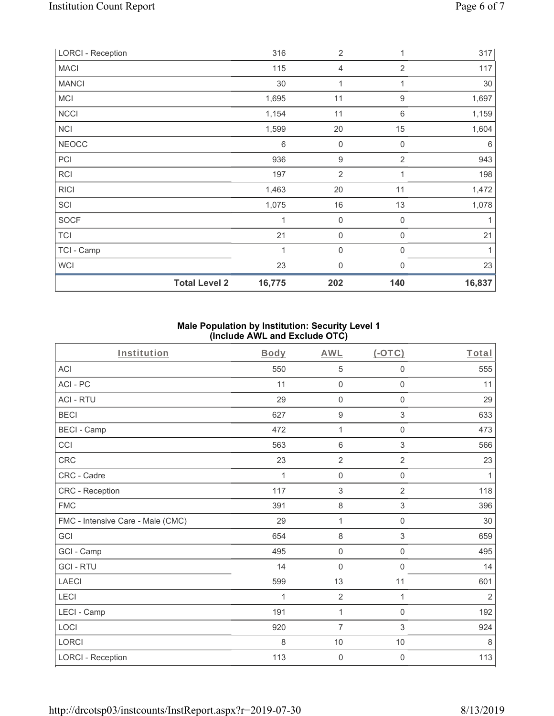| <b>LORCI - Reception</b> |                      | 316    | $\overline{2}$   | 1                | 317    |
|--------------------------|----------------------|--------|------------------|------------------|--------|
| <b>MACI</b>              |                      | 115    | $\overline{4}$   | $\overline{2}$   | 117    |
| <b>MANCI</b>             |                      | 30     | 1                | 1                | 30     |
| MCI                      |                      | 1,695  | 11               | $\boldsymbol{9}$ | 1,697  |
| <b>NCCI</b>              |                      | 1,154  | 11               | 6                | 1,159  |
| <b>NCI</b>               |                      | 1,599  | 20               | 15               | 1,604  |
| NEOCC                    |                      | 6      | $\boldsymbol{0}$ | $\boldsymbol{0}$ | 6      |
| PCI                      |                      | 936    | $\boldsymbol{9}$ | $\overline{2}$   | 943    |
| RCI                      |                      | 197    | $\overline{2}$   | 1                | 198    |
| <b>RICI</b>              |                      | 1,463  | 20               | 11               | 1,472  |
| SCI                      |                      | 1,075  | 16               | 13               | 1,078  |
| SOCF                     |                      | 1      | 0                | $\mathbf 0$      | 1      |
| <b>TCI</b>               |                      | 21     | $\mathbf 0$      | 0                | 21     |
| TCI - Camp               |                      | 1      | $\boldsymbol{0}$ | $\mathbf 0$      | 1      |
| <b>WCI</b>               |                      | 23     | $\mathbf 0$      | $\mathbf{0}$     | 23     |
|                          | <b>Total Level 2</b> | 16,775 | 202              | 140              | 16,837 |

## **Male Population by Institution: Security Level 1 (Include AWL and Exclude OTC)**

| Institution                       | Body | <b>AWL</b>          | $(-OTC)$            | Total        |
|-----------------------------------|------|---------------------|---------------------|--------------|
| <b>ACI</b>                        | 550  | 5                   | 0                   | 555          |
| ACI-PC                            | 11   | $\mathsf{O}\xspace$ | $\mathsf{O}\xspace$ | 11           |
| <b>ACI - RTU</b>                  | 29   | $\mathsf{O}\xspace$ | $\mathsf{O}\xspace$ | 29           |
| <b>BECI</b>                       | 627  | $\boldsymbol{9}$    | 3                   | 633          |
| <b>BECI - Camp</b>                | 472  | 1                   | $\mathsf{O}\xspace$ | 473          |
| CCI                               | 563  | $\,6\,$             | $\mathfrak{S}$      | 566          |
| CRC                               | 23   | $\sqrt{2}$          | $\overline{2}$      | 23           |
| CRC - Cadre                       | 1    | $\mathbf 0$         | $\mathbf 0$         | $\mathbf{1}$ |
| CRC - Reception                   | 117  | 3                   | $\overline{2}$      | 118          |
| <b>FMC</b>                        | 391  | $\,8\,$             | 3                   | 396          |
| FMC - Intensive Care - Male (CMC) | 29   | 1                   | $\mathsf{O}\xspace$ | $30\,$       |
| GCI                               | 654  | $\,8\,$             | $\,$ 3 $\,$         | 659          |
| GCI - Camp                        | 495  | $\mathsf{O}\xspace$ | $\mathsf{O}\xspace$ | 495          |
| <b>GCI-RTU</b>                    | 14   | $\mathbf 0$         | $\mathbf 0$         | 14           |
| <b>LAECI</b>                      | 599  | 13                  | 11                  | 601          |
| LECI                              | 1    | $\overline{2}$      | 1                   | $\sqrt{2}$   |
| LECI - Camp                       | 191  | $\mathbf{1}$        | $\mathsf 0$         | 192          |
| LOCI                              | 920  | $\overline{7}$      | 3                   | 924          |
| LORCI                             | 8    | 10                  | 10                  | 8            |
| <b>LORCI - Reception</b>          | 113  | $\mathsf{O}\xspace$ | 0                   | 113          |